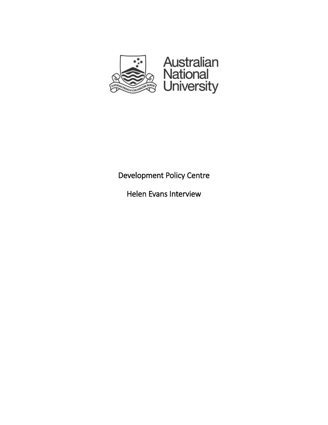

## Development Policy Centre

Helen Evans Interview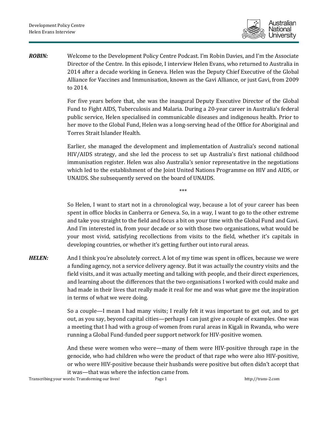

*ROBIN:* Welcome to the Development Policy Centre Podcast. I'm Robin Davies, and I'm the Associate Director of the Centre. In this episode, I interview Helen Evans, who returned to Australia in 2014 after a decade working in Geneva. Helen was the Deputy Chief Executive of the Global Alliance for Vaccines and Immunisation, known as the Gavi Alliance, or just Gavi, from 2009 to 2014.

> For five years before that, she was the inaugural Deputy Executive Director of the Global Fund to Fight AIDS, Tuberculosis and Malaria. During a 20-year career in Australia's federal public service, Helen specialised in communicable diseases and indigenous health. Prior to her move to the Global Fund, Helen was a long-serving head of the Office for Aboriginal and Torres Strait Islander Health.

> Earlier, she managed the development and implementation of Australia's second national HIV/AIDS strategy, and she led the process to set up Australia's first national childhood immunisation register. Helen was also Australia's senior representative in the negotiations which led to the establishment of the Joint United Nations Programme on HIV and AIDS, or UNAIDS. She subsequently served on the board of UNAIDS.

> > \*\*\*

So Helen, I want to start not in a chronological way, because a lot of your career has been spent in office blocks in Canberra or Geneva. So, in a way, I want to go to the other extreme and take you straight to the field and focus a bit on your time with the Global Fund and Gavi. And I'm interested in, from your decade or so with those two organisations, what would be your most vivid, satisfying recollections from visits to the field, whether it's capitals in developing countries, or whether it's getting further out into rural areas.

*HELEN:* And I think you're absolutely correct. A lot of my time was spent in offices, because we were a funding agency, not a service delivery agency. But it was actually the country visits and the field visits, and it was actually meeting and talking with people, and their direct experiences, and learning about the differences that the two organisations I worked with could make and had made in their lives that really made it real for me and was what gave me the inspiration in terms of what we were doing.

> So a couple—I mean I had many visits; I really felt it was important to get out, and to get out, as you say, beyond capital cities—perhaps I can just give a couple of examples. One was a meeting that I had with a group of women from rural areas in Kigali in Rwanda, who were running a Global Fund-funded peer support network for HIV-positive women.

> And these were women who were—many of them were HIV-positive through rape in the genocide, who had children who were the product of that rape who were also HIV-positive, or who were HIV-positive because their husbands were positive but often didn't accept that it was—that was where the infection came from.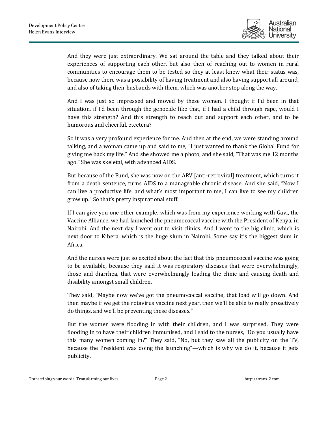

And they were just extraordinary. We sat around the table and they talked about their experiences of supporting each other, but also then of reaching out to women in rural communities to encourage them to be tested so they at least knew what their status was, because now there was a possibility of having treatment and also having support all around, and also of taking their husbands with them, which was another step along the way.

And I was just so impressed and moved by these women. I thought if I'd been in that situation, if I'd been through the genocide like that, if I had a child through rape, would I have this strength? And this strength to reach out and support each other, and to be humorous and cheerful, etcetera?

So it was a very profound experience for me. And then at the end, we were standing around talking, and a woman came up and said to me, "I just wanted to thank the Global Fund for giving me back my life." And she showed me a photo, and she said, "That was me 12 months ago." She was skeletal, with advanced AIDS.

But because of the Fund, she was now on the ARV [anti-retroviral] treatment, which turns it from a death sentence, turns AIDS to a manageable chronic disease. And she said, "Now I can live a productive life, and what's most important to me, I can live to see my children grow up." So that's pretty inspirational stuff.

If I can give you one other example, which was from my experience working with Gavi, the Vaccine Alliance, we had launched the pneumococcal vaccine with the President of Kenya, in Nairobi. And the next day I went out to visit clinics. And I went to the big clinic, which is next door to Kibera, which is the huge slum in Nairobi. Some say it's the biggest slum in Africa.

And the nurses were just so excited about the fact that this pneumococcal vaccine was going to be available, because they said it was respiratory diseases that were overwhelmingly, those and diarrhea, that were overwhelmingly loading the clinic and causing death and disability amongst small children.

They said, "Maybe now we've got the pneumococcal vaccine, that load will go down. And then maybe if we get the rotavirus vaccine next year, then we'll be able to really proactively do things, and we'll be preventing these diseases."

But the women were flooding in with their children, and I was surprised. They were flooding in to have their children immunised, and I said to the nurses, "Do you usually have this many women coming in?" They said, "No, but they saw all the publicity on the TV, because the President was doing the launching"—which is why we do it, because it gets publicity.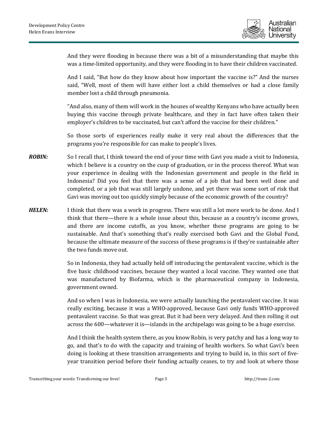

And they were flooding in because there was a bit of a misunderstanding that maybe this was a time-limited opportunity, and they were flooding in to have their children vaccinated.

And I said, "But how do they know about how important the vaccine is?" And the nurses said, "Well, most of them will have either lost a child themselves or had a close family member lost a child through pneumonia.

"And also, many of them will work in the houses of wealthy Kenyans who have actually been buying this vaccine through private healthcare, and they in fact have often taken their employer's children to be vaccinated, but can't afford the vaccine for their children."

So those sorts of experiences really make it very real about the differences that the programs you're responsible for can make to people's lives.

- *ROBIN:* So I recall that, I think toward the end of your time with Gavi you made a visit to Indonesia, which I believe is a country on the cusp of graduation, or in the process thereof. What was your experience in dealing with the Indonesian government and people in the field in Indonesia? Did you feel that there was a sense of a job that had been well done and completed, or a job that was still largely undone, and yet there was some sort of risk that Gavi was moving out too quickly simply because of the economic growth of the country?
- **HELEN:** I think that there was a work in progress. There was still a lot more work to be done. And I think that there—there is a whole issue about this, because as a country's income grows, and there are income cutoffs, as you know, whether these programs are going to be sustainable. And that's something that's really exercised both Gavi and the Global Fund, because the ultimate measure of the success of these programs is if they're sustainable after the two funds move out.

So in Indonesia, they had actually held off introducing the pentavalent vaccine, which is the five basic childhood vaccines, because they wanted a local vaccine. They wanted one that was manufactured by Biofarma, which is the pharmaceutical company in Indonesia, government owned.

And so when I was in Indonesia, we were actually launching the pentavalent vaccine. It was really exciting, because it was a WHO-approved, because Gavi only funds WHO-approved pentavalent vaccine. So that was great. But it had been very delayed. And then rolling it out across the 600—whatever it is—islands in the archipelago was going to be a huge exercise.

And I think the health system there, as you know Robin, is very patchy and has a long way to go, and that's to do with the capacity and training of health workers. So what Gavi's been doing is looking at these transition arrangements and trying to build in, in this sort of fiveyear transition period before their funding actually ceases, to try and look at where those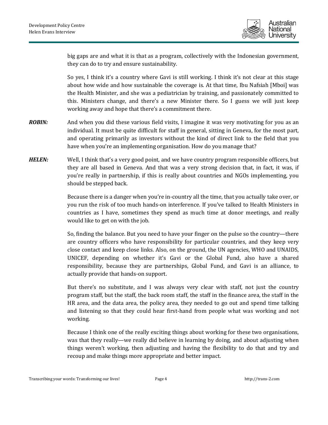

big gaps are and what it is that as a program, collectively with the Indonesian government, they can do to try and ensure sustainability.

So yes, I think it's a country where Gavi is still working. I think it's not clear at this stage about how wide and how sustainable the coverage is. At that time, Ibu Nafsiah [Mboi] was the Health Minister, and she was a pediatrician by training, and passionately committed to this. Ministers change, and there's a new Minister there. So I guess we will just keep working away and hope that there's a commitment there.

- *ROBIN:* And when you did these various field visits, I imagine it was very motivating for you as an individual. It must be quite difficult for staff in general, sitting in Geneva, for the most part, and operating primarily as investors without the kind of direct link to the field that you have when you're an implementing organisation. How do you manage that?
- *HELEN:* Well, I think that's a very good point, and we have country program responsible officers, but they are all based in Geneva. And that was a very strong decision that, in fact, it was, if you're really in partnership, if this is really about countries and NGOs implementing, you should be stepped back.

Because there is a danger when you're in-country all the time, that you actually take over, or you run the risk of too much hands-on interference. If you've talked to Health Ministers in countries as I have, sometimes they spend as much time at donor meetings, and really would like to get on with the job.

So, finding the balance. But you need to have your finger on the pulse so the country—there are country officers who have responsibility for particular countries, and they keep very close contact and keep close links. Also, on the ground, the UN agencies, WHO and UNAIDS, UNICEF, depending on whether it's Gavi or the Global Fund, also have a shared responsibility, because they are partnerships, Global Fund, and Gavi is an alliance, to actually provide that hands-on support.

But there's no substitute, and I was always very clear with staff, not just the country program staff, but the staff, the back room staff, the staff in the finance area, the staff in the HR area, and the data area, the policy area, they needed to go out and spend time talking and listening so that they could hear first-hand from people what was working and not working.

Because I think one of the really exciting things about working for these two organisations, was that they really—we really did believe in learning by doing, and about adjusting when things weren't working, then adjusting and having the flexibility to do that and try and recoup and make things more appropriate and better impact.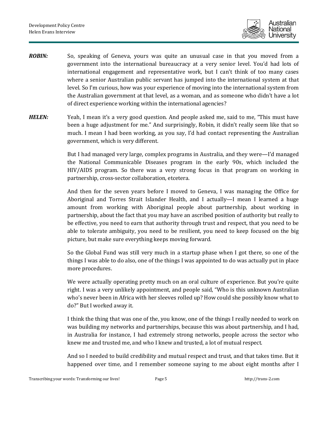

- *ROBIN:* So, speaking of Geneva, yours was quite an unusual case in that you moved from a government into the international bureaucracy at a very senior level. You'd had lots of international engagement and representative work, but I can't think of too many cases where a senior Australian public servant has jumped into the international system at that level. So I'm curious, how was your experience of moving into the international system from the Australian government at that level, as a woman, and as someone who didn't have a lot of direct experience working within the international agencies?
- **HELEN:** Yeah, I mean it's a very good question. And people asked me, said to me, "This must have been a huge adjustment for me." And surprisingly, Robin, it didn't really seem like that so much. I mean I had been working, as you say, I'd had contact representing the Australian government, which is very different.

But I had managed very large, complex programs in Australia, and they were—I'd managed the National Communicable Diseases program in the early 90s, which included the HIV/AIDS program. So there was a very strong focus in that program on working in partnership, cross-sector collaboration, etcetera.

And then for the seven years before I moved to Geneva, I was managing the Office for Aboriginal and Torres Strait Islander Health, and I actually—I mean I learned a huge amount from working with Aboriginal people about partnership, about working in partnership, about the fact that you may have an ascribed position of authority but really to be effective, you need to earn that authority through trust and respect, that you need to be able to tolerate ambiguity, you need to be resilient, you need to keep focused on the big picture, but make sure everything keeps moving forward.

So the Global Fund was still very much in a startup phase when I got there, so one of the things I was able to do also, one of the things I was appointed to do was actually put in place more procedures.

We were actually operating pretty much on an oral culture of experience. But you're quite right. I was a very unlikely appointment, and people said, "Who is this unknown Australian who's never been in Africa with her sleeves rolled up? How could she possibly know what to do?" But I worked away it.

I think the thing that was one of the, you know, one of the things I really needed to work on was building my networks and partnerships, because this was about partnership, and I had, in Australia for instance, I had extremely strong networks, people across the sector who knew me and trusted me, and who I knew and trusted, a lot of mutual respect.

And so I needed to build credibility and mutual respect and trust, and that takes time. But it happened over time, and I remember someone saying to me about eight months after I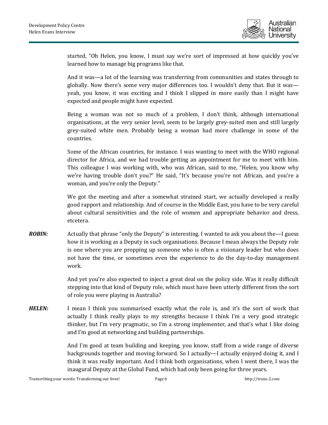

started, "Oh Helen, you know, I must say we're sort of impressed at how quickly you've learned how to manage big programs like that.

And it was—a lot of the learning was transferring from communities and states through to globally. Now there's some very major differences too. I wouldn't deny that. But it was yeah, you know, it was exciting and I think I slipped in more easily than I might have expected and people might have expected.

Being a woman was not so much of a problem, I don't think, although international organisations, at the very senior level, seem to be largely grey-suited men and still largely grey-suited white men. Probably being a woman had more challenge in some of the countries.

Some of the African countries, for instance. I was wanting to meet with the WHO regional director for Africa, and we had trouble getting an appointment for me to meet with him. This colleague I was working with, who was African, said to me, "Helen, you know why we're having trouble don't you?" He said, "It's because you're not African, and you're a woman, and you're only the Deputy."

We got the meeting and after a somewhat strained start, we actually developed a really good rapport and relationship. And of course in the Middle East, you have to be very careful about cultural sensitivities and the role of women and appropriate behavior and dress, etcetera.

*ROBIN:* Actually that phrase "only the Deputy" is interesting. I wanted to ask you about the --- I guess how it is working as a Deputy in such organisations. Because I mean always the Deputy role is one where you are propping up someone who is often a visionary leader but who does not have the time, or sometimes even the experience to do the day-to-day management work.

> And yet you're also expected to inject a great deal on the policy side. Was it really difficult stepping into that kind of Deputy role, which must have been utterly different from the sort of role you were playing in Australia?

**HELEN:** I mean I think you summarised exactly what the role is, and it's the sort of work that actually I think really plays to my strengths because I think I'm a very good strategic thinker, but I'm very pragmatic, so I'm a strong implementer, and that's what I like doing and I'm good at networking and building partnerships.

> And I'm good at team building and keeping, you know, staff from a wide range of diverse backgrounds together and moving forward. So I actually—I actually enjoyed doing it, and I think it was really important. And I think both organisations, when I went there, I was the inaugural Deputy at the Global Fund, which had only been going for three years.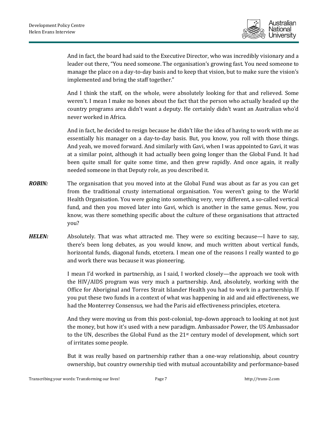

And in fact, the board had said to the Executive Director, who was incredibly visionary and a leader out there, "You need someone. The organisation's growing fast. You need someone to manage the place on a day-to-day basis and to keep that vision, but to make sure the vision's implemented and bring the staff together."

And I think the staff, on the whole, were absolutely looking for that and relieved. Some weren't. I mean I make no bones about the fact that the person who actually headed up the country programs area didn't want a deputy. He certainly didn't want an Australian who'd never worked in Africa.

And in fact, he decided to resign because he didn't like the idea of having to work with me as essentially his manager on a day-to-day basis. But, you know, you roll with those things. And yeah, we moved forward. And similarly with Gavi, when I was appointed to Gavi, it was at a similar point, although it had actually been going longer than the Global Fund. It had been quite small for quite some time, and then grew rapidly. And once again, it really needed someone in that Deputy role, as you described it.

- *ROBIN:* The organisation that you moved into at the Global Fund was about as far as you can get from the traditional crusty international organisation. You weren't going to the World Health Organisation. You were going into something very, very different, a so-called vertical fund, and then you moved later into Gavi, which is another in the same genus. Now, you know, was there something specific about the culture of these organisations that attracted you?
- **HELEN:** Absolutely. That was what attracted me. They were so exciting because—I have to say, there's been long debates, as you would know, and much written about vertical funds, horizontal funds, diagonal funds, etcetera. I mean one of the reasons I really wanted to go and work there was because it was pioneering.

I mean I'd worked in partnership, as I said, I worked closely—the approach we took with the HIV/AIDS program was very much a partnership. And, absolutely, working with the Office for Aboriginal and Torres Strait Islander Health you had to work in a partnership. If you put these two funds in a context of what was happening in aid and aid effectiveness, we had the Monterrey Consensus, we had the Paris aid effectiveness principles, etcetera.

And they were moving us from this post-colonial, top-down approach to looking at not just the money, but how it's used with a new paradigm. Ambassador Power, the US Ambassador to the UN, describes the Global Fund as the  $21<sup>st</sup>$  century model of development, which sort of irritates some people.

But it was really based on partnership rather than a one-way relationship, about country ownership, but country ownership tied with mutual accountability and performance-based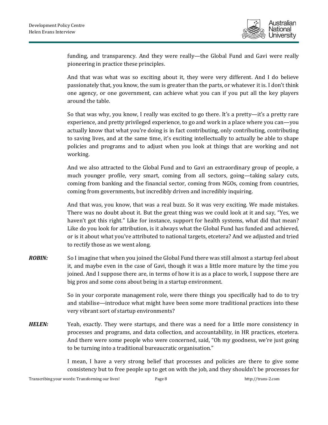

funding, and transparency. And they were really—the Global Fund and Gavi were really pioneering in practice these principles.

And that was what was so exciting about it, they were very different. And I do believe passionately that, you know, the sum is greater than the parts, or whatever it is. I don't think one agency, or one government, can achieve what you can if you put all the key players around the table.

So that was why, you know, I really was excited to go there. It's a pretty—it's a pretty rare experience, and pretty privileged experience, to go and work in a place where you can—you actually know that what you're doing is in fact contributing, only contributing, contributing to saving lives, and at the same time, it's exciting intellectually to actually be able to shape policies and programs and to adjust when you look at things that are working and not working.

And we also attracted to the Global Fund and to Gavi an extraordinary group of people, a much younger profile, very smart, coming from all sectors, going—taking salary cuts, coming from banking and the financial sector, coming from NGOs, coming from countries, coming from governments, but incredibly driven and incredibly inquiring.

And that was, you know, that was a real buzz. So it was very exciting. We made mistakes. There was no doubt about it. But the great thing was we could look at it and say, "Yes, we haven't got this right." Like for instance, support for health systems, what did that mean? Like do you look for attribution, is it always what the Global Fund has funded and achieved, or is it about what you've attributed to national targets, etcetera? And we adjusted and tried to rectify those as we went along.

*ROBIN:* So I imagine that when you joined the Global Fund there was still almost a startup feel about it, and maybe even in the case of Gavi, though it was a little more mature by the time you joined. And I suppose there are, in terms of how it is as a place to work, I suppose there are big pros and some cons about being in a startup environment.

> So in your corporate management role, were there things you specifically had to do to try and stabilise—introduce what might have been some more traditional practices into these very vibrant sort of startup environments?

**HELEN:** Yeah, exactly. They were startups, and there was a need for a little more consistency in processes and programs, and data collection, and accountability, in HR practices, etcetera. And there were some people who were concerned, said, "Oh my goodness, we're just going to be turning into a traditional bureaucratic organisation."

> I mean, I have a very strong belief that processes and policies are there to give some consistency but to free people up to get on with the job, and they shouldn't be processes for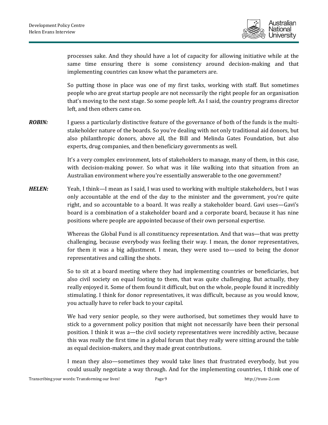

processes sake. And they should have a lot of capacity for allowing initiative while at the same time ensuring there is some consistency around decision-making and that implementing countries can know what the parameters are.

So putting those in place was one of my first tasks, working with staff. But sometimes people who are great startup people are not necessarily the right people for an organisation that's moving to the next stage. So some people left. As I said, the country programs director left, and then others came on.

*ROBIN:* I guess a particularly distinctive feature of the governance of both of the funds is the multistakeholder nature of the boards. So you're dealing with not only traditional aid donors, but also philanthropic donors, above all, the Bill and Melinda Gates Foundation, but also experts, drug companies, and then beneficiary governments as well.

> It's a very complex environment, lots of stakeholders to manage, many of them, in this case, with decision-making power. So what was it like walking into that situation from an Australian environment where you're essentially answerable to the one government?

*HELEN:* Yeah, I think—I mean as I said, I was used to working with multiple stakeholders, but I was only accountable at the end of the day to the minister and the government, you're quite right, and so accountable to a board. It was really a stakeholder board. Gavi uses—Gavi's board is a combination of a stakeholder board and a corporate board, because it has nine positions where people are appointed because of their own personal expertise.

> Whereas the Global Fund is all constituency representation. And that was—that was pretty challenging, because everybody was feeling their way. I mean, the donor representatives, for them it was a big adjustment. I mean, they were used to—used to being the donor representatives and calling the shots.

> So to sit at a board meeting where they had implementing countries or beneficiaries, but also civil society on equal footing to them, that was quite challenging. But actually, they really enjoyed it. Some of them found it difficult, but on the whole, people found it incredibly stimulating. I think for donor representatives, it was difficult, because as you would know, you actually have to refer back to your capital.

> We had very senior people, so they were authorised, but sometimes they would have to stick to a government policy position that might not necessarily have been their personal position. I think it was a—the civil society representatives were incredibly active, because this was really the first time in a global forum that they really were sitting around the table as equal decision-makers, and they made great contributions.

> I mean they also—sometimes they would take lines that frustrated everybody, but you could usually negotiate a way through. And for the implementing countries, I think one of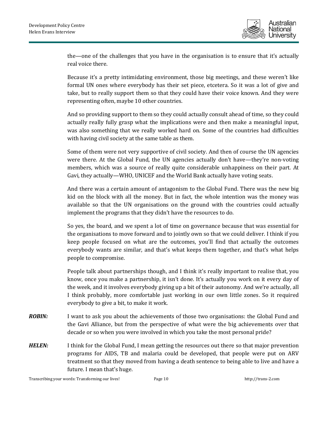

the—one of the challenges that you have in the organisation is to ensure that it's actually real voice there.

Because it's a pretty intimidating environment, those big meetings, and these weren't like formal UN ones where everybody has their set piece, etcetera. So it was a lot of give and take, but to really support them so that they could have their voice known. And they were representing often, maybe 10 other countries.

And so providing support to them so they could actually consult ahead of time, so they could actually really fully grasp what the implications were and then make a meaningful input, was also something that we really worked hard on. Some of the countries had difficulties with having civil society at the same table as them.

Some of them were not very supportive of civil society. And then of course the UN agencies were there. At the Global Fund, the UN agencies actually don't have—they're non-voting members, which was a source of really quite considerable unhappiness on their part. At Gavi, they actually—WHO, UNICEF and the World Bank actually have voting seats.

And there was a certain amount of antagonism to the Global Fund. There was the new big kid on the block with all the money. But in fact, the whole intention was the money was available so that the UN organisations on the ground with the countries could actually implement the programs that they didn't have the resources to do.

So yes, the board, and we spent a lot of time on governance because that was essential for the organisations to move forward and to jointly own so that we could deliver. I think if you keep people focused on what are the outcomes, you'll find that actually the outcomes everybody wants are similar, and that's what keeps them together, and that's what helps people to compromise.

People talk about partnerships though, and I think it's really important to realise that, you know, once you make a partnership, it isn't done. It's actually you work on it every day of the week, and it involves everybody giving up a bit of their autonomy. And we're actually, all I think probably, more comfortable just working in our own little zones. So it required everybody to give a bit, to make it work.

- *ROBIN:* I want to ask you about the achievements of those two organisations: the Global Fund and the Gavi Alliance, but from the perspective of what were the big achievements over that decade or so when you were involved in which you take the most personal pride?
- **HELEN:** I think for the Global Fund, I mean getting the resources out there so that major prevention programs for AIDS, TB and malaria could be developed, that people were put on ARV treatment so that they moved from having a death sentence to being able to live and have a future. I mean that's huge.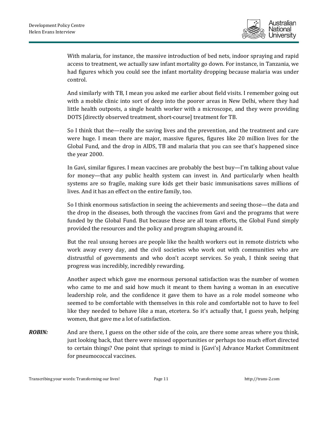

With malaria, for instance, the massive introduction of bed nets, indoor spraying and rapid access to treatment, we actually saw infant mortality go down. For instance, in Tanzania, we had figures which you could see the infant mortality dropping because malaria was under control.

And similarly with TB, I mean you asked me earlier about field visits. I remember going out with a mobile clinic into sort of deep into the poorer areas in New Delhi, where they had little health outposts, a single health worker with a microscope, and they were providing DOTS [directly observed treatment, short-course] treatment for TB.

So I think that the—really the saving lives and the prevention, and the treatment and care were huge. I mean there are major, massive figures, figures like 20 million lives for the Global Fund, and the drop in AIDS, TB and malaria that you can see that's happened since the year 2000.

In Gavi, similar figures. I mean vaccines are probably the best buy—I'm talking about value for money—that any public health system can invest in. And particularly when health systems are so fragile, making sure kids get their basic immunisations saves millions of lives. And it has an effect on the entire family, too.

So I think enormous satisfaction in seeing the achievements and seeing those—the data and the drop in the diseases, both through the vaccines from Gavi and the programs that were funded by the Global Fund. But because these are all team efforts, the Global Fund simply provided the resources and the policy and program shaping around it.

But the real unsung heroes are people like the health workers out in remote districts who work away every day, and the civil societies who work out with communities who are distrustful of governments and who don't accept services. So yeah, I think seeing that progress was incredibly, incredibly rewarding.

Another aspect which gave me enormous personal satisfaction was the number of women who came to me and said how much it meant to them having a woman in an executive leadership role, and the confidence it gave them to have as a role model someone who seemed to be comfortable with themselves in this role and comfortable not to have to feel like they needed to behave like a man, etcetera. So it's actually that, I guess yeah, helping women, that gave me a lot of satisfaction.

*ROBIN:* And are there, I guess on the other side of the coin, are there some areas where you think, just looking back, that there were missed opportunities or perhaps too much effort directed to certain things? One point that springs to mind is [Gavi's] Advance Market Commitment for pneumococcal vaccines.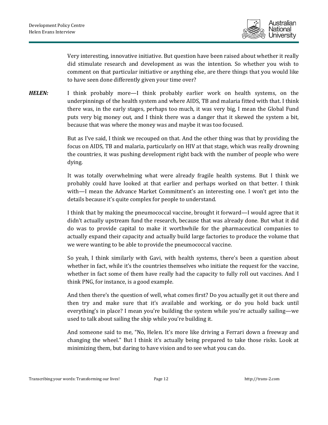

Very interesting, innovative initiative. But question have been raised about whether it really did stimulate research and development as was the intention. So whether you wish to comment on that particular initiative or anything else, are there things that you would like to have seen done differently given your time over?

*HELEN:* I think probably more—I think probably earlier work on health systems, on the underpinnings of the health system and where AIDS, TB and malaria fitted with that. I think there was, in the early stages, perhaps too much, it was very big, I mean the Global Fund puts very big money out, and I think there was a danger that it skewed the system a bit, because that was where the money was and maybe it was too focused.

> But as I've said, I think we recouped on that. And the other thing was that by providing the focus on AIDS, TB and malaria, particularly on HIV at that stage, which was really drowning the countries, it was pushing development right back with the number of people who were dying.

> It was totally overwhelming what were already fragile health systems. But I think we probably could have looked at that earlier and perhaps worked on that better. I think with—I mean the Advance Market Commitment's an interesting one. I won't get into the details because it's quite complex for people to understand.

> I think that by making the pneumococcal vaccine, brought it forward—I would agree that it didn't actually upstream fund the research, because that was already done. But what it did do was to provide capital to make it worthwhile for the pharmaceutical companies to actually expand their capacity and actually build large factories to produce the volume that we were wanting to be able to provide the pneumococcal vaccine.

> So yeah, I think similarly with Gavi, with health systems, there's been a question about whether in fact, while it's the countries themselves who initiate the request for the vaccine, whether in fact some of them have really had the capacity to fully roll out vaccines. And I think PNG, for instance, is a good example.

> And then there's the question of well, what comes first? Do you actually get it out there and then try and make sure that it's available and working, or do you hold back until everything's in place? I mean you're building the system while you're actually sailing—we used to talk about sailing the ship while you're building it.

> And someone said to me, "No, Helen. It's more like driving a Ferrari down a freeway and changing the wheel." But I think it's actually being prepared to take those risks. Look at minimizing them, but daring to have vision and to see what you can do.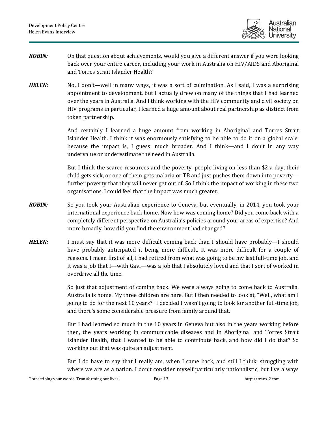

- *ROBIN:* On that question about achievements, would you give a different answer if you were looking back over your entire career, including your work in Australia on HIV/AIDS and Aboriginal and Torres Strait Islander Health?
- *HELEN:* No, I don't—well in many ways, it was a sort of culmination. As I said, I was a surprising appointment to development, but I actually drew on many of the things that I had learned over the years in Australia. And I think working with the HIV community and civil society on HIV programs in particular, I learned a huge amount about real partnership as distinct from token partnership.

And certainly I learned a huge amount from working in Aboriginal and Torres Strait Islander Health. I think it was enormously satisfying to be able to do it on a global scale, because the impact is, I guess, much broader. And I think—and I don't in any way undervalue or underestimate the need in Australia.

But I think the scarce resources and the poverty, people living on less than \$2 a day, their child gets sick, or one of them gets malaria or TB and just pushes them down into poverty further poverty that they will never get out of. So I think the impact of working in these two organisations, I could feel that the impact was much greater.

- *ROBIN:* So you took your Australian experience to Geneva, but eventually, in 2014, you took your international experience back home. Now how was coming home? Did you come back with a completely different perspective on Australia's policies around your areas of expertise? And more broadly, how did you find the environment had changed?
- **HELEN:** I must say that it was more difficult coming back than I should have probably—I should have probably anticipated it being more difficult. It was more difficult for a couple of reasons. I mean first of all, I had retired from what was going to be my last full-time job, and it was a job that I—with Gavi—was a job that I absolutely loved and that I sort of worked in overdrive all the time.

So just that adjustment of coming back. We were always going to come back to Australia. Australia is home. My three children are here. But I then needed to look at, "Well, what am I going to do for the next 10 years?" I decided I wasn't going to look for another full-time job, and there's some considerable pressure from family around that.

But I had learned so much in the 10 years in Geneva but also in the years working before then, the years working in communicable diseases and in Aboriginal and Torres Strait Islander Health, that I wanted to be able to contribute back, and how did I do that? So working out that was quite an adjustment.

But I do have to say that I really am, when I came back, and still I think, struggling with where we are as a nation. I don't consider myself particularly nationalistic, but I've always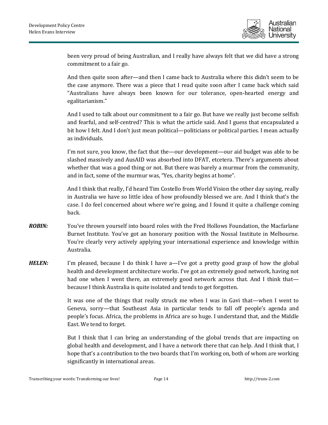

been very proud of being Australian, and I really have always felt that we did have a strong commitment to a fair go.

And then quite soon after—and then I came back to Australia where this didn't seem to be the case anymore. There was a piece that I read quite soon after I came back which said "Australians have always been known for our tolerance, open-hearted energy and egalitarianism."

And I used to talk about our commitment to a fair go. But have we really just become selfish and fearful, and self-centred? This is what the article said. And I guess that encapsulated a bit how I felt. And I don't just mean political—politicians or political parties. I mean actually as individuals.

I'm not sure, you know, the fact that the—our development—our aid budget was able to be slashed massively and AusAID was absorbed into DFAT, etcetera. There's arguments about whether that was a good thing or not. But there was barely a murmur from the community, and in fact, some of the murmur was, "Yes, charity begins at home".

And I think that really, I'd heard Tim Costello from World Vision the other day saying, really in Australia we have so little idea of how profoundly blessed we are. And I think that's the case. I do feel concerned about where we're going, and I found it quite a challenge coming back.

- *ROBIN:* You've thrown yourself into board roles with the Fred Hollows Foundation, the Macfarlane Burnet Institute. You've got an honorary position with the Nossal Institute in Melbourne. You're clearly very actively applying your international experience and knowledge within Australia.
- *HELEN:* I'm pleased, because I do think I have a—I've got a pretty good grasp of how the global health and development architecture works. I've got an extremely good network, having not had one when I went there, an extremely good network across that. And I think that because I think Australia is quite isolated and tends to get forgotten.

It was one of the things that really struck me when I was in Gavi that—when I went to Geneva, sorry—that Southeast Asia in particular tends to fall off people's agenda and people's focus. Africa, the problems in Africa are so huge. I understand that, and the Middle East. We tend to forget.

But I think that I can bring an understanding of the global trends that are impacting on global health and development, and I have a network there that can help. And I think that, I hope that's a contribution to the two boards that I'm working on, both of whom are working significantly in international areas.